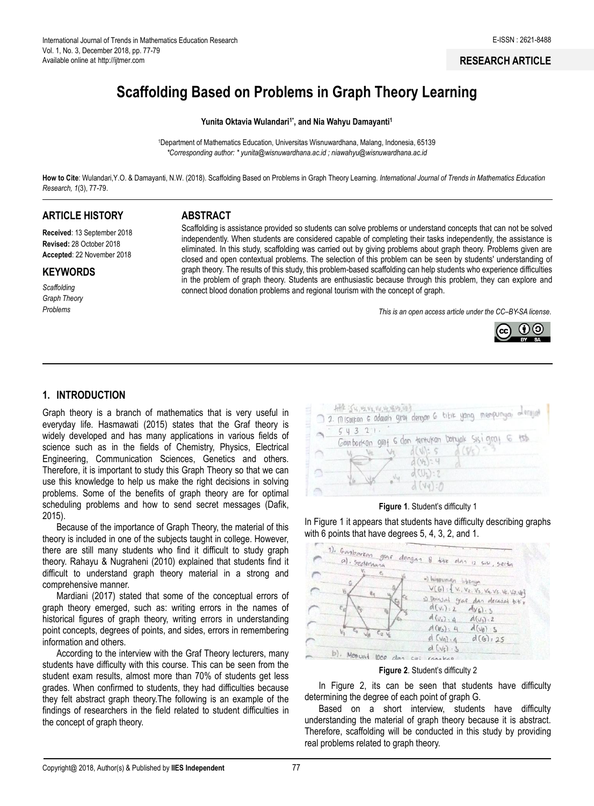### **RESEARCH ARTICLE**

# **Scaffolding Based on Problems in Graph Theory Learning**

#### Yunita Oktavia Wulandari<sup>1\*</sup>, and Nia Wahyu Damayanti<sup>1</sup>

<sup>1</sup>Department of Mathematics Education, Universitas Wisnuwardhana, Malang, Indonesia, 65139 *\*Corresponding author: [\\* yunita@wisnuwardhana.ac.id](mailto:yunita@wisnuwardhana.ac.id) ; niawahyu@wisnuwardhana.ac.id*

**How to Cite**: Wulandari,Y.O. & Damayanti, N.W. (2018). Scaffolding Based on Problems in Graph Theory Learning*. International Journal of Trends in Mathematics Education Research, 1*(3), 77-79.

# **ARTICLE HISTORY**

**Received**: 13 September 2018 **Revised:** 28 October 2018 **Accepted**: 22 November 2018

### **KEYWORDS**

*Scaffolding Graph Theory Problems*

### **ABSTRACT**

Scaffolding is assistance provided so students can solve problems or understand concepts that can not be solved independently. When students are considered capable of completing their tasks independently, the assistance is eliminated. In this study, scaffolding was carried out by giving problems about graph theory. Problems given are closed and open contextual problems. The selection of this problem can be seen by students' understanding of graph theory. The results of this study, this problem-based scaffolding can help students who experience difficulties in the problem of graph theory. Students are enthusiastic because through this problem, they can explore and connect blood donation problems and regional tourism with the concept of graph.

*This is an open access article under the CC–[BY-SA](http://creativecommons.org/licenses/by-sa/4.0/) license*.



## **1. INTRODUCTION**

Graph theory is a branch of mathematics that is very useful in everyday life. Hasmawati (2015) states that the Graf theory is widely developed and has many applications in various fields of science such as in the fields of Chemistry, Physics, Electrical Engineering, Communication Sciences, Genetics and others. Therefore, it is important to study this Graph Theory so that we can use this knowledge to help us make the right decisions in solving problems. Some of the benefits of graph theory are for optimal scheduling problems and how to send secret messages (Dafik, 2015).

Because of the importance of Graph Theory, the material of this theory is included in one of the subjects taught in college. However, there are still many students who find it difficult to study graph theory. Rahayu & Nugraheni (2010) explained that students find it difficult to understand graph theory material in a strong and comprehensive manner.

Mardiani (2017) stated that some of the conceptual errors of graph theory emerged, such as: writing errors in the names of historical figures of graph theory, writing errors in understanding point concepts, degrees of points, and sides, errors in remembering information and others.

According to the interview with the Graf Theory lecturers, many students have difficulty with this course. This can be seen from the student exam results, almost more than 70% of students get less grades. When confirmed to students, they had difficulties because they felt abstract graph theory.The following is an example of the findings of researchers in the field related to student difficulties in the concept of graph theory.

| 7. Misoikan 6 adalah graf dengan 6 titik yang mempunyai alerajat<br>54321 |  |
|---------------------------------------------------------------------------|--|
| Gamborkan graf 6 dan tentukan banyak Sisi graf 6 tsb                      |  |
| d(W:5 d(Ss))<br>$d(b_1): 4$                                               |  |
| $d(U_1):2$<br>$V_{\rm M}$                                                 |  |

**Figure 1**. Student's difficulty 1

In Figure 1 it appears that students have difficulty describing graphs with 6 points that have degrees 5, 4, 3, 2, and 1.

| 1). Ganbartan graf dengan 8 tike dan 12 sisi, serta |                                                                                                                                             |
|-----------------------------------------------------|---------------------------------------------------------------------------------------------------------------------------------------------|
| e,<br>Vs                                            | with when women's being<br>$V(G): \{V_1, V_2, V_3, V_4, V_5, V_6, V_7, V_8\}$<br>a Donald graf dan derasal bitir<br>$d(v_1): 2$ $d(v_6): 3$ |
| $\epsilon_{\rm u}$ $\sqrt{\rho}$                    | $d(v_2)$ , $q$ $d(v_3)$ . 2<br>$d(v_3) = 4$ $d(v_8) = 5$                                                                                    |
| $e_2$ Ve                                            | d(G): 25<br>$d(v_1)$ .<br>$d(v_{s}):3$                                                                                                      |
| b). Menuat 1000 dan ciri                            | $(a\wedge a) \leq a\vee$                                                                                                                    |



In Figure 2, its can be seen that students have difficulty determining the degree of each point of graph G.

Based on a short interview, students have difficulty understanding the material of graph theory because it is abstract. Therefore, scaffolding will be conducted in this study by providing real problems related to graph theory.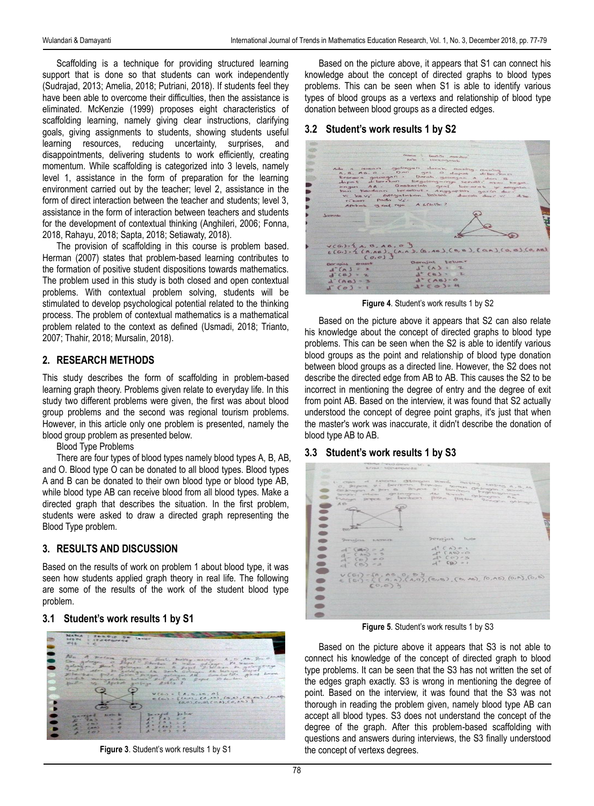Scaffolding is a technique for providing structured learning support that is done so that students can work independently (Sudrajad, 2013; Amelia, 2018; Putriani, 2018). If students feel they have been able to overcome their difficulties, then the assistance is eliminated. McKenzie (1999) proposes eight characteristics of scaffolding learning, namely giving clear instructions, clarifying goals, giving assignments to students, showing students useful learning resources, reducing uncertainty, surprises, and disappointments, delivering students to work efficiently, creating momentum. While scaffolding is categorized into 3 levels, namely level 1, assistance in the form of preparation for the learning environment carried out by the teacher; level 2, assistance in the form of direct interaction between the teacher and students; level 3, assistance in the form of interaction between teachers and students for the development of contextual thinking (Anghileri, 2006; Fonna, 2018, Rahayu, 2018; Sapta, 2018; Setiawaty, 2018).

The provision of scaffolding in this course is problem based. Herman (2007) states that problem-based learning contributes to the formation of positive student dispositions towards mathematics. The problem used in this study is both closed and open contextual problems. With contextual problem solving, students will be stimulated to develop psychological potential related to the thinking process. The problem of contextual mathematics is a mathematical problem related to the context as defined (Usmadi, 2018; Trianto, 2007; Thahir, 2018; Mursalin, 2018).

# **2. RESEARCH METHODS**

This study describes the form of scaffolding in problem-based learning graph theory. Problems given relate to everyday life. In this study two different problems were given, the first was about blood group problems and the second was regional tourism problems. However, in this article only one problem is presented, namely the blood group problem as presented below.

Blood Type Problems

There are four types of blood types namely blood types A, B, AB, and O. Blood type O can be donated to all blood types. Blood types A and B can be donated to their own blood type or blood type AB, while blood type AB can receive blood from all blood types. Make a directed graph that describes the situation. In the first problem, students were asked to draw a directed graph representing the Blood Type problem.

# **3. RESULTS AND DISCUSSION**

Based on the results of work on problem 1 about blood type, it was seen how students applied graph theory in real life. The following are some of the results of the work of the student blood type problem.

## **3.1 Student's work results 1 by S1**



**Figure 3**. Student's work results 1 by S1

Based on the picture above, it appears that S1 can connect his knowledge about the concept of directed graphs to blood types problems. This can be seen when S1 is able to identify various types of blood groups as a vertexs and relationship of blood type donation between blood groups as a directed edges.

## **3.2 Student's work results 1 by S2**

|                                         | <b>Silverson</b>                                                                           |  |
|-----------------------------------------|--------------------------------------------------------------------------------------------|--|
|                                         |                                                                                            |  |
|                                         | nome - Centris averdone                                                                    |  |
|                                         | pain : 1504090406                                                                          |  |
|                                         | Ada a rockars golongen derah, masing-masing                                                |  |
| A.B. AB. O. DAM get a dapped diberrence |                                                                                            |  |
|                                         | Researa gotongan . Darah gotongan A dan B.                                                 |  |
|                                         | dupat diberikan kagalongannya senditi asao kaga.                                           |  |
|                                         | ongan AB. Gesberleh graf bererak y seryeta.                                                |  |
|                                         | kan Kendaan tersebut. Anggapian garin dari<br>vi kevi menyatakan bahwa duriah duri vi dine |  |
| ritor Pada Vi.                          |                                                                                            |  |
|                                         | Apakob graf rya A sholts?                                                                  |  |
|                                         |                                                                                            |  |
| Lawrence                                |                                                                                            |  |
|                                         |                                                                                            |  |
|                                         |                                                                                            |  |
|                                         |                                                                                            |  |
|                                         |                                                                                            |  |
|                                         |                                                                                            |  |
| $Y(G_i) = 1 A, B, AB, 0$                |                                                                                            |  |
|                                         | $E(G_i)$ = { (A,AE), (A,A), (B,AE), (B,B), (aA), (D,B), (O,AE)                             |  |
| (0.0)                                   |                                                                                            |  |
| Der gjob masuk                          | Derajat teluar                                                                             |  |
| $d(A) = 2$                              | $d$ $(\wedge)$ = 2                                                                         |  |
| $d (B) = 2$                             | $d^+(8)$ $l$                                                                               |  |
|                                         | $d^*(AB)>0$                                                                                |  |
|                                         |                                                                                            |  |
| $d (AB) = 3$<br>$d(0) = 1$              | $d^-(0) = 4$                                                                               |  |

**Figure 4**. Student's work results 1 by S2

Based on the picture above it appears that S2 can also relate his knowledge about the concept of directed graphs to blood type problems. This can be seen when the S2 is able to identify various blood groups as the point and relationship of blood type donation between blood groups as a directed line. However, the S2 does not describe the directed edge from AB to AB. This causes the S2 to be incorrect in mentioning the degree of entry and the degree of exit from point AB. Based on the interview, it was found that S2 actually understood the concept of degree point graphs, it's just that when the master's work was inaccurate, it didn't describe the donation of blood type AB to AB.

## **3.3 Student's work results 1 by S3**



**Figure 5**. Student's work results 1 by S3

Based on the picture above it appears that S3 is not able to connect his knowledge of the concept of directed graph to blood type problems. It can be seen that the S3 has not written the set of the edges graph exactly. S3 is wrong in mentioning the degree of point. Based on the interview, it was found that the S3 was not thorough in reading the problem given, namely blood type AB can accept all blood types. S3 does not understand the concept of the degree of the graph. After this problem-based scaffolding with questions and answers during interviews, the S3 finally understood the concept of vertexs degrees.